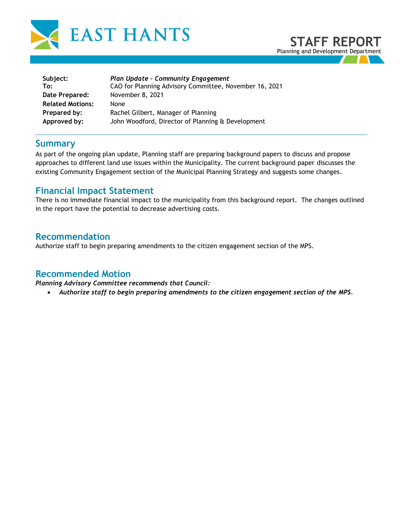



| Subject:                | <b>Plan Update - Community Engagement</b>              |  |
|-------------------------|--------------------------------------------------------|--|
| To:                     | CAO for Planning Advisory Committee, November 16, 2021 |  |
| Date Prepared:          | November 8, 2021                                       |  |
| <b>Related Motions:</b> | <b>None</b>                                            |  |
| Prepared by:            | Rachel Gilbert, Manager of Planning                    |  |
| Approved by:            | John Woodford, Director of Planning & Development      |  |

### **Summary**

As part of the ongoing plan update, Planning staff are preparing background papers to discuss and propose approaches to different land use issues within the Municipality. The current background paper discusses the existing Community Engagement section of the Municipal Planning Strategy and suggests some changes.

## **Financial Impact Statement**

There is no immediate financial impact to the municipality from this background report. The changes outlined in the report have the potential to decrease advertising costs.

## **Recommendation**

Authorize staff to begin preparing amendments to the citizen engagement section of the MPS.

#### **Recommended Motion**

*Planning Advisory Committee recommends that Council:* 

• *Authorize staff to begin preparing amendments to the citizen engagement section of the MPS.*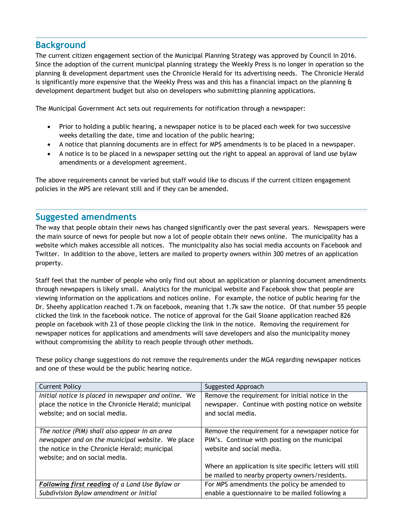# **Background**

The current citizen engagement section of the Municipal Planning Strategy was approved by Council in 2016. Since the adoption of the current municipal planning strategy the Weekly Press is no longer in operation so the planning & development department uses the Chronicle Herald for its advertising needs. The Chronicle Herald is significantly more expensive that the Weekly Press was and this has a financial impact on the planning  $\alpha$ development department budget but also on developers who submitting planning applications.

The Municipal Government Act sets out requirements for notification through a newspaper:

- Prior to holding a public hearing, a newspaper notice is to be placed each week for two successive weeks detailing the date, time and location of the public hearing;
- A notice that planning documents are in effect for MPS amendments is to be placed in a newspaper.
- A notice is to be placed in a newspaper setting out the right to appeal an approval of land use bylaw amendments or a development agreement.

The above requirements cannot be varied but staff would like to discuss if the current citizen engagement policies in the MPS are relevant still and if they can be amended.

## **Suggested amendments**

The way that people obtain their news has changed significantly over the past several years. Newspapers were the main source of news for people but now a lot of people obtain their news online. The municipality has a website which makes accessible all notices. The municipality also has social media accounts on Facebook and Twitter. In addition to the above, letters are mailed to property owners within 300 metres of an application property.

Staff feel that the number of people who only find out about an application or planning document amendments through newspapers is likely small. Analytics for the municipal website and Facebook show that people are viewing information on the applications and notices online. For example, the notice of public hearing for the Dr. Sheehy application reached 1.7k on facebook, meaning that 1.7k saw the notice. Of that number 55 people clicked the link in the facebook notice. The notice of approval for the Gail Sloane application reached 826 people on facebook with 23 of those people clicking the link in the notice. Removing the requirement for newspaper notices for applications and amendments will save developers and also the municipality money without compromising the ability to reach people through other methods.

These policy change suggestions do not remove the requirements under the MGA regarding newspaper notices and one of these would be the public hearing notice.

| <b>Current Policy</b>                                | Suggested Approach                                       |
|------------------------------------------------------|----------------------------------------------------------|
| Initial notice is placed in newspaper and online. We | Remove the requirement for initial notice in the         |
| place the notice in the Chronicle Herald; municipal  | newspaper. Continue with posting notice on website       |
| website; and on social media.                        | and social media.                                        |
|                                                      |                                                          |
| The notice (PIM) shall also appear in an area        | Remove the requirement for a newspaper notice for        |
| newspaper and on the municipal website. We place     | PIM's. Continue with posting on the municipal            |
| the notice in the Chronicle Herald; municipal        | website and social media.                                |
| website; and on social media.                        |                                                          |
|                                                      | Where an application is site specific letters will still |
|                                                      | be mailed to nearby property owners/residents.           |
| Following first reading of a Land Use Bylaw or       | For MPS amendments the policy be amended to              |
| Subdivision Bylaw amendment or Initial               | enable a questionnaire to be mailed following a          |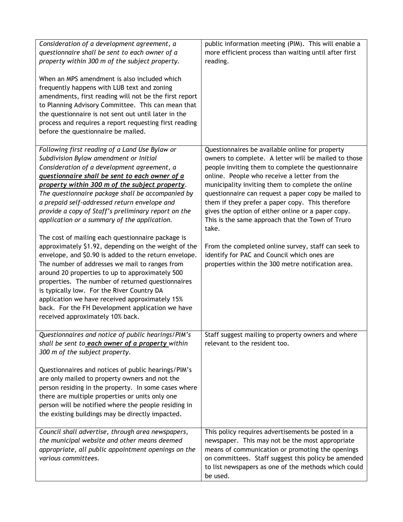| Consideration of a development agreement, a<br>questionnaire shall be sent to each owner of a<br>property within 300 m of the subject property.<br>When an MPS amendment is also included which<br>frequently happens with LUB text and zoning<br>amendments, first reading will not be the first report<br>to Planning Advisory Committee. This can mean that<br>the questionnaire is not sent out until later in the<br>process and requires a report requesting first reading<br>before the questionnaire be mailed.                                                                                                                                                                                                                                                                                                                                                                                                                                                         | public information meeting (PIM). This will enable a<br>more efficient process than waiting until after first<br>reading.                                                                                                                                                                                                                                                                                                                                                                                                                                                                                                                                    |
|---------------------------------------------------------------------------------------------------------------------------------------------------------------------------------------------------------------------------------------------------------------------------------------------------------------------------------------------------------------------------------------------------------------------------------------------------------------------------------------------------------------------------------------------------------------------------------------------------------------------------------------------------------------------------------------------------------------------------------------------------------------------------------------------------------------------------------------------------------------------------------------------------------------------------------------------------------------------------------|--------------------------------------------------------------------------------------------------------------------------------------------------------------------------------------------------------------------------------------------------------------------------------------------------------------------------------------------------------------------------------------------------------------------------------------------------------------------------------------------------------------------------------------------------------------------------------------------------------------------------------------------------------------|
| Following first reading of a Land Use Bylaw or<br>Subdivision Bylaw amendment or Initial<br>Consideration of a development agreement, a<br>questionnaire shall be sent to each owner of a<br>property within 300 m of the subject property.<br>The questionnaire package shall be accompanied by<br>a prepaid self-addressed return envelope and<br>provide a copy of Staff's preliminary report on the<br>application or a summary of the application.<br>The cost of mailing each questionnaire package is<br>approximately \$1.92, depending on the weight of the<br>envelope, and \$0.90 is added to the return envelope.<br>The number of addresses we mail to ranges from<br>around 20 properties to up to approximately 500<br>properties. The number of returned questionnaires<br>is typically low. For the River Country DA<br>application we have received approximately 15%<br>back. For the FH Development application we have<br>received approximately 10% back. | Questionnaires be available online for property<br>owners to complete. A letter will be mailed to those<br>people inviting them to complete the questionnaire<br>online. People who receive a letter from the<br>municipality inviting them to complete the online<br>questionnaire can request a paper copy be mailed to<br>them if they prefer a paper copy. This therefore<br>gives the option of either online or a paper copy.<br>This is the same approach that the Town of Truro<br>take.<br>From the completed online survey, staff can seek to<br>identify for PAC and Council which ones are<br>properties within the 300 metre notification area. |
| Questionnaires and notice of public hearings/PIM's<br>shall be sent to each owner of a property within<br>300 m of the subject property.<br>Questionnaires and notices of public hearings/PIM's<br>are only mailed to property owners and not the<br>person residing in the property. In some cases where<br>there are multiple properties or units only one<br>person will be notified where the people residing in<br>the existing buildings may be directly impacted.<br>Council shall advertise, through area newspapers,                                                                                                                                                                                                                                                                                                                                                                                                                                                   | Staff suggest mailing to property owners and where<br>relevant to the resident too.<br>This policy requires advertisements be posted in a                                                                                                                                                                                                                                                                                                                                                                                                                                                                                                                    |
| the municipal website and other means deemed<br>appropriate, all public appointment openings on the<br>various committees.                                                                                                                                                                                                                                                                                                                                                                                                                                                                                                                                                                                                                                                                                                                                                                                                                                                      | newspaper. This may not be the most appropriate<br>means of communication or promoting the openings<br>on committees. Staff suggest this policy be amended<br>to list newspapers as one of the methods which could<br>be used.                                                                                                                                                                                                                                                                                                                                                                                                                               |